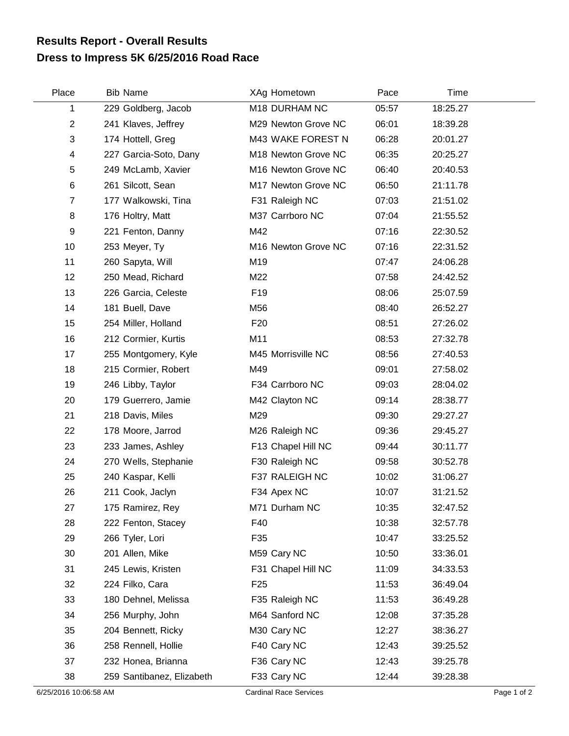## **Dress to Impress 5K 6/25/2016 Road Race Results Report - Overall Results**

| Place          | <b>Bib Name</b>           | XAg Hometown        | Pace  | Time     |  |
|----------------|---------------------------|---------------------|-------|----------|--|
| 1              | 229 Goldberg, Jacob       | M18 DURHAM NC       | 05:57 | 18:25.27 |  |
| $\overline{c}$ | 241 Klaves, Jeffrey       | M29 Newton Grove NC | 06:01 | 18:39.28 |  |
| 3              | 174 Hottell, Greg         | M43 WAKE FOREST N   | 06:28 | 20:01.27 |  |
| 4              | 227 Garcia-Soto, Dany     | M18 Newton Grove NC | 06:35 | 20:25.27 |  |
| 5              | 249 McLamb, Xavier        | M16 Newton Grove NC | 06:40 | 20:40.53 |  |
| 6              | 261 Silcott, Sean         | M17 Newton Grove NC | 06:50 | 21:11.78 |  |
| $\overline{7}$ | 177 Walkowski, Tina       | F31 Raleigh NC      | 07:03 | 21:51.02 |  |
| 8              | 176 Holtry, Matt          | M37 Carrboro NC     | 07:04 | 21:55.52 |  |
| 9              | 221 Fenton, Danny         | M42                 | 07:16 | 22:30.52 |  |
| 10             | 253 Meyer, Ty             | M16 Newton Grove NC | 07:16 | 22:31.52 |  |
| 11             | 260 Sapyta, Will          | M19                 | 07:47 | 24:06.28 |  |
| 12             | 250 Mead, Richard         | M22                 | 07:58 | 24:42.52 |  |
| 13             | 226 Garcia, Celeste       | F <sub>19</sub>     | 08:06 | 25:07.59 |  |
| 14             | 181 Buell, Dave           | M56                 | 08:40 | 26:52.27 |  |
| 15             | 254 Miller, Holland       | F <sub>20</sub>     | 08:51 | 27:26.02 |  |
| 16             | 212 Cormier, Kurtis       | M11                 | 08:53 | 27:32.78 |  |
| 17             | 255 Montgomery, Kyle      | M45 Morrisville NC  | 08:56 | 27:40.53 |  |
| 18             | 215 Cormier, Robert       | M49                 | 09:01 | 27:58.02 |  |
| 19             | 246 Libby, Taylor         | F34 Carrboro NC     | 09:03 | 28:04.02 |  |
| 20             | 179 Guerrero, Jamie       | M42 Clayton NC      | 09:14 | 28:38.77 |  |
| 21             | 218 Davis, Miles          | M29                 | 09:30 | 29:27.27 |  |
| 22             | 178 Moore, Jarrod         | M26 Raleigh NC      | 09:36 | 29:45.27 |  |
| 23             | 233 James, Ashley         | F13 Chapel Hill NC  | 09:44 | 30:11.77 |  |
| 24             | 270 Wells, Stephanie      | F30 Raleigh NC      | 09:58 | 30:52.78 |  |
| 25             | 240 Kaspar, Kelli         | F37 RALEIGH NC      | 10:02 | 31:06.27 |  |
| 26             | 211 Cook, Jaclyn          | F34 Apex NC         | 10:07 | 31:21.52 |  |
| 27             | 175 Ramirez, Rey          | M71 Durham NC       | 10:35 | 32:47.52 |  |
| 28             | 222 Fenton, Stacey        | F40                 | 10:38 | 32:57.78 |  |
| 29             | 266 Tyler, Lori           | F35                 | 10:47 | 33:25.52 |  |
| 30             | 201 Allen, Mike           | M59 Cary NC         | 10:50 | 33:36.01 |  |
| 31             | 245 Lewis, Kristen        | F31 Chapel Hill NC  | 11:09 | 34:33.53 |  |
| 32             | 224 Filko, Cara           | F <sub>25</sub>     | 11:53 | 36:49.04 |  |
| 33             | 180 Dehnel, Melissa       | F35 Raleigh NC      | 11:53 | 36:49.28 |  |
| 34             | 256 Murphy, John          | M64 Sanford NC      | 12:08 | 37:35.28 |  |
| 35             | 204 Bennett, Ricky        | M30 Cary NC         | 12:27 | 38:36.27 |  |
| 36             | 258 Rennell, Hollie       | F40 Cary NC         | 12:43 | 39:25.52 |  |
| 37             | 232 Honea, Brianna        | F36 Cary NC         | 12:43 | 39:25.78 |  |
| 38             | 259 Santibanez, Elizabeth | F33 Cary NC         | 12:44 | 39:28.38 |  |